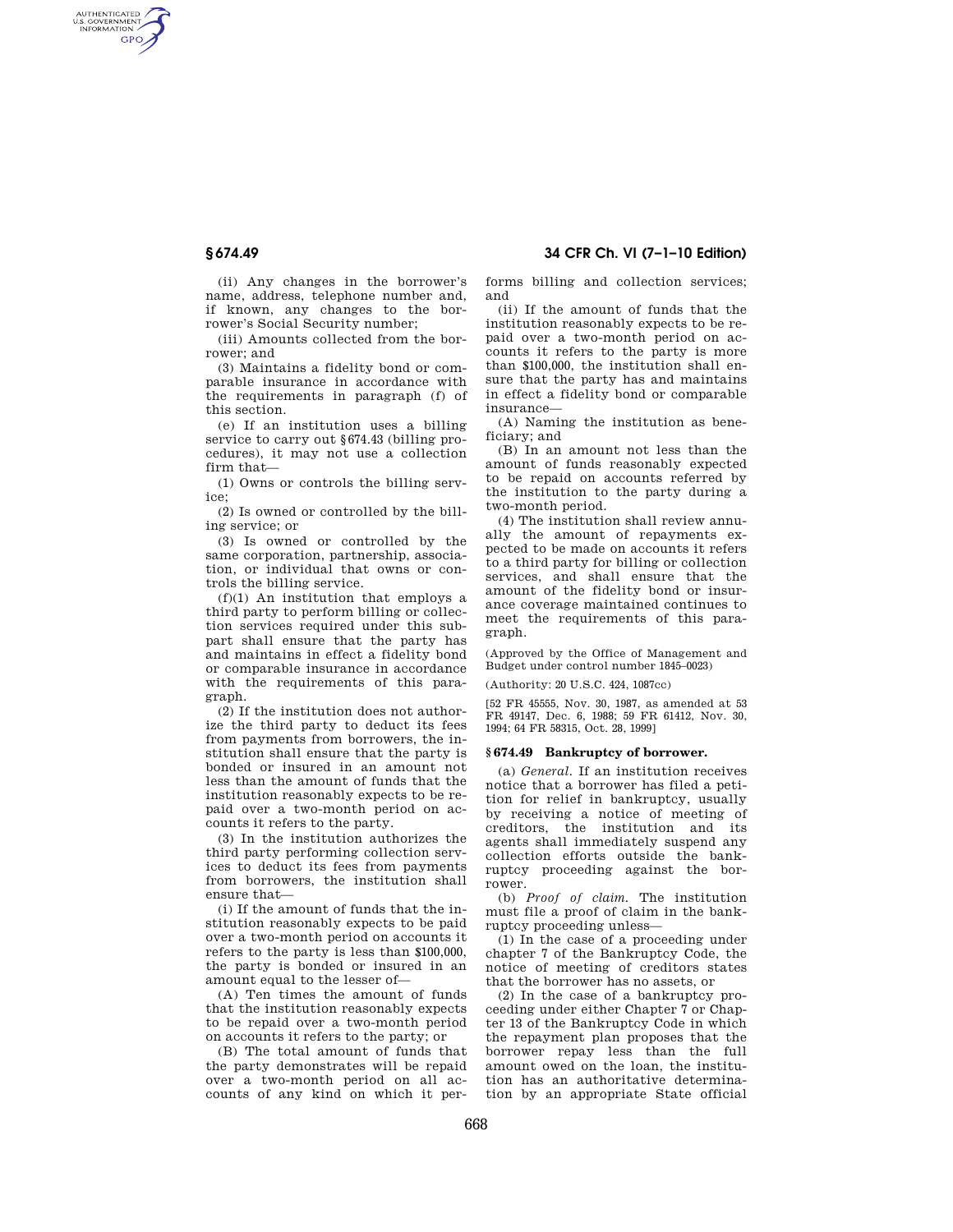AUTHENTICATED<br>U.S. GOVERNMENT<br>INFORMATION **GPO** 

> (ii) Any changes in the borrower's name, address, telephone number and, if known, any changes to the borrower's Social Security number;

(iii) Amounts collected from the borrower; and

(3) Maintains a fidelity bond or comparable insurance in accordance with the requirements in paragraph (f) of this section.

(e) If an institution uses a billing service to carry out §674.43 (billing procedures), it may not use a collection firm that—

(1) Owns or controls the billing service;

(2) Is owned or controlled by the billing service; or

(3) Is owned or controlled by the same corporation, partnership, association, or individual that owns or controls the billing service.

(f)(1) An institution that employs a third party to perform billing or collection services required under this subpart shall ensure that the party has and maintains in effect a fidelity bond or comparable insurance in accordance with the requirements of this paragraph.

(2) If the institution does not authorize the third party to deduct its fees from payments from borrowers, the institution shall ensure that the party is bonded or insured in an amount not less than the amount of funds that the institution reasonably expects to be repaid over a two-month period on accounts it refers to the party.

(3) In the institution authorizes the third party performing collection services to deduct its fees from payments from borrowers, the institution shall ensure that—

(i) If the amount of funds that the institution reasonably expects to be paid over a two-month period on accounts it refers to the party is less than \$100,000, the party is bonded or insured in an amount equal to the lesser of—

(A) Ten times the amount of funds that the institution reasonably expects to be repaid over a two-month period on accounts it refers to the party; or

(B) The total amount of funds that the party demonstrates will be repaid over a two-month period on all accounts of any kind on which it performs billing and collection services; and

(ii) If the amount of funds that the institution reasonably expects to be repaid over a two-month period on accounts it refers to the party is more than \$100,000, the institution shall ensure that the party has and maintains in effect a fidelity bond or comparable insurance—

(A) Naming the institution as beneficiary; and

(B) In an amount not less than the amount of funds reasonably expected to be repaid on accounts referred by the institution to the party during a two-month period.

(4) The institution shall review annually the amount of repayments expected to be made on accounts it refers to a third party for billing or collection services, and shall ensure that the amount of the fidelity bond or insurance coverage maintained continues to meet the requirements of this paragraph.

(Approved by the Office of Management and Budget under control number 1845–0023)

(Authority: 20 U.S.C. 424, 1087cc)

[52 FR 45555, Nov. 30, 1987, as amended at 53 FR 49147, Dec. 6, 1988; 59 FR 61412, Nov. 30, 1994; 64 FR 58315, Oct. 28, 1999]

## **§ 674.49 Bankruptcy of borrower.**

(a) *General.* If an institution receives notice that a borrower has filed a petition for relief in bankruptcy, usually by receiving a notice of meeting of creditors, the institution and its agents shall immediately suspend any collection efforts outside the bankruptcy proceeding against the borrower.

(b) *Proof of claim.* The institution must file a proof of claim in the bankruptcy proceeding unless—

(1) In the case of a proceeding under chapter 7 of the Bankruptcy Code, the notice of meeting of creditors states that the borrower has no assets, or

(2) In the case of a bankruptcy proceeding under either Chapter 7 or Chapter 13 of the Bankruptcy Code in which the repayment plan proposes that the borrower repay less than the full amount owed on the loan, the institution has an authoritative determination by an appropriate State official

# **§ 674.49 34 CFR Ch. VI (7–1–10 Edition)**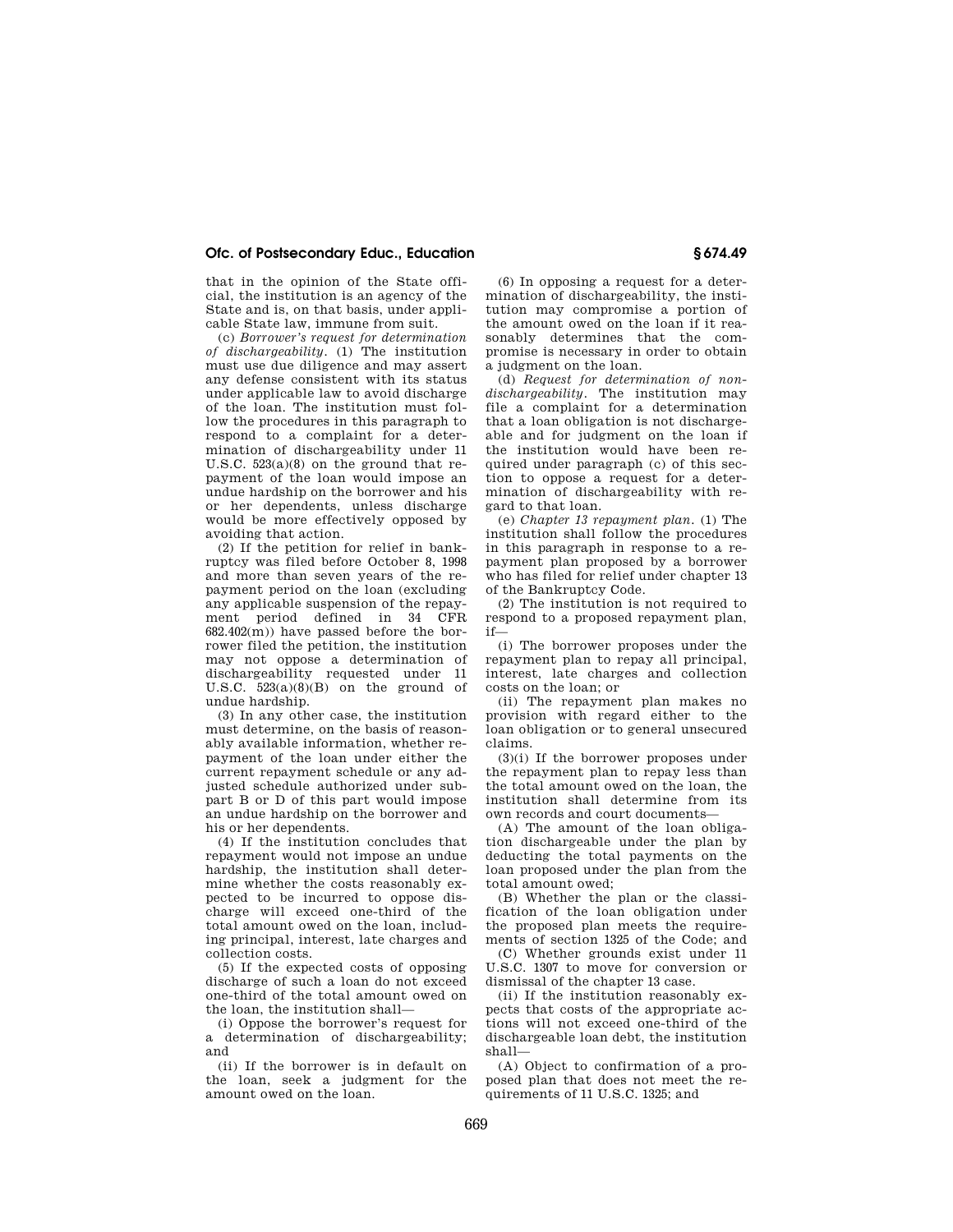## **Ofc. of Postsecondary Educ., Education § 674.49**

that in the opinion of the State official, the institution is an agency of the State and is, on that basis, under applicable State law, immune from suit.

(c) *Borrower's request for determination of dischargeability.* (1) The institution must use due diligence and may assert any defense consistent with its status under applicable law to avoid discharge of the loan. The institution must follow the procedures in this paragraph to respond to a complaint for a determination of dischargeability under 11 U.S.C. 523(a)(8) on the ground that repayment of the loan would impose an undue hardship on the borrower and his or her dependents, unless discharge would be more effectively opposed by avoiding that action.

(2) If the petition for relief in bankruptcy was filed before October 8, 1998 and more than seven years of the repayment period on the loan (excluding any applicable suspension of the repayment period defined in 34 CFR  $682.402(m)$  have passed before the borrower filed the petition, the institution may not oppose a determination of dischargeability requested under 11 U.S.C.  $523(a)(8)(B)$  on the ground of undue hardship.

(3) In any other case, the institution must determine, on the basis of reasonably available information, whether repayment of the loan under either the current repayment schedule or any adjusted schedule authorized under subpart B or D of this part would impose an undue hardship on the borrower and his or her dependents.

(4) If the institution concludes that repayment would not impose an undue hardship, the institution shall determine whether the costs reasonably expected to be incurred to oppose discharge will exceed one-third of the total amount owed on the loan, including principal, interest, late charges and collection costs.

(5) If the expected costs of opposing discharge of such a loan do not exceed one-third of the total amount owed on the loan, the institution shall—

(i) Oppose the borrower's request for a determination of dischargeability; and

(ii) If the borrower is in default on the loan, seek a judgment for the amount owed on the loan.

(6) In opposing a request for a determination of dischargeability, the institution may compromise a portion of the amount owed on the loan if it reasonably determines that the compromise is necessary in order to obtain a judgment on the loan.

(d) *Request for determination of nondischargeability.* The institution may file a complaint for a determination that a loan obligation is not dischargeable and for judgment on the loan if the institution would have been required under paragraph (c) of this section to oppose a request for a determination of dischargeability with regard to that loan.

(e) *Chapter 13 repayment plan.* (1) The institution shall follow the procedures in this paragraph in response to a repayment plan proposed by a borrower who has filed for relief under chapter 13 of the Bankruptcy Code.

(2) The institution is not required to respond to a proposed repayment plan, if—

(i) The borrower proposes under the repayment plan to repay all principal, interest, late charges and collection costs on the loan; or

(ii) The repayment plan makes no provision with regard either to the loan obligation or to general unsecured claims.

(3)(i) If the borrower proposes under the repayment plan to repay less than the total amount owed on the loan, the institution shall determine from its own records and court documents—

(A) The amount of the loan obligation dischargeable under the plan by deducting the total payments on the loan proposed under the plan from the total amount owed;

(B) Whether the plan or the classification of the loan obligation under the proposed plan meets the requirements of section 1325 of the Code; and

(C) Whether grounds exist under 11 U.S.C. 1307 to move for conversion or dismissal of the chapter 13 case.

(ii) If the institution reasonably expects that costs of the appropriate actions will not exceed one-third of the dischargeable loan debt, the institution shall—

(A) Object to confirmation of a proposed plan that does not meet the requirements of 11 U.S.C. 1325; and